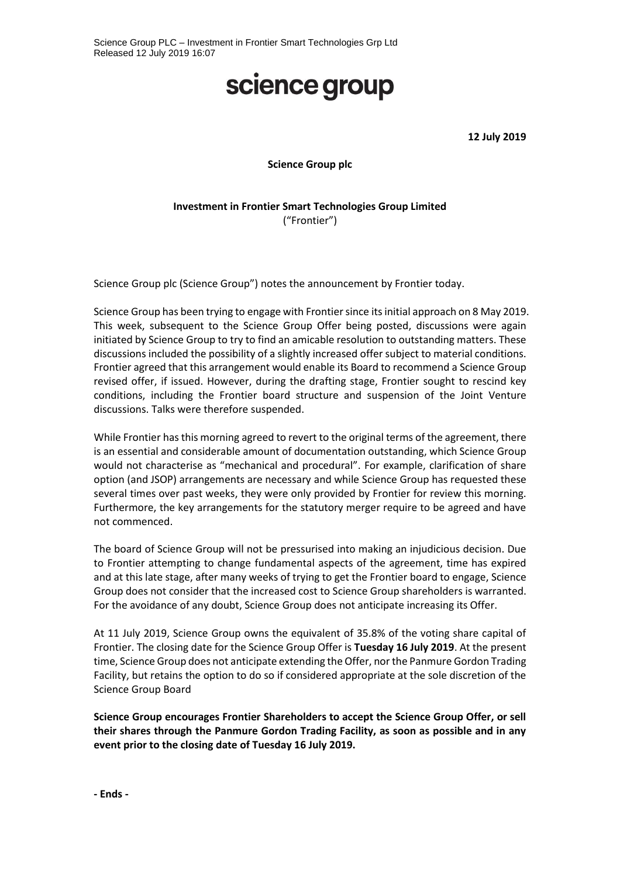## science group

**12 July 2019**

**Science Group plc**

## **Investment in Frontier Smart Technologies Group Limited** ("Frontier")

Science Group plc (Science Group") notes the announcement by Frontier today.

Science Group has been trying to engage with Frontier since its initial approach on 8 May 2019. This week, subsequent to the Science Group Offer being posted, discussions were again initiated by Science Group to try to find an amicable resolution to outstanding matters. These discussions included the possibility of a slightly increased offer subject to material conditions. Frontier agreed that this arrangement would enable its Board to recommend a Science Group revised offer, if issued. However, during the drafting stage, Frontier sought to rescind key conditions, including the Frontier board structure and suspension of the Joint Venture discussions. Talks were therefore suspended.

While Frontier has this morning agreed to revert to the original terms of the agreement, there is an essential and considerable amount of documentation outstanding, which Science Group would not characterise as "mechanical and procedural". For example, clarification of share option (and JSOP) arrangements are necessary and while Science Group has requested these several times over past weeks, they were only provided by Frontier for review this morning. Furthermore, the key arrangements for the statutory merger require to be agreed and have not commenced.

The board of Science Group will not be pressurised into making an injudicious decision. Due to Frontier attempting to change fundamental aspects of the agreement, time has expired and at this late stage, after many weeks of trying to get the Frontier board to engage, Science Group does not consider that the increased cost to Science Group shareholders is warranted. For the avoidance of any doubt, Science Group does not anticipate increasing its Offer.

At 11 July 2019, Science Group owns the equivalent of 35.8% of the voting share capital of Frontier. The closing date for the Science Group Offer is **Tuesday 16 July 2019**. At the present time, Science Group does not anticipate extending the Offer, nor the Panmure Gordon Trading Facility, but retains the option to do so if considered appropriate at the sole discretion of the Science Group Board

**Science Group encourages Frontier Shareholders to accept the Science Group Offer, or sell their shares through the Panmure Gordon Trading Facility, as soon as possible and in any event prior to the closing date of Tuesday 16 July 2019.**